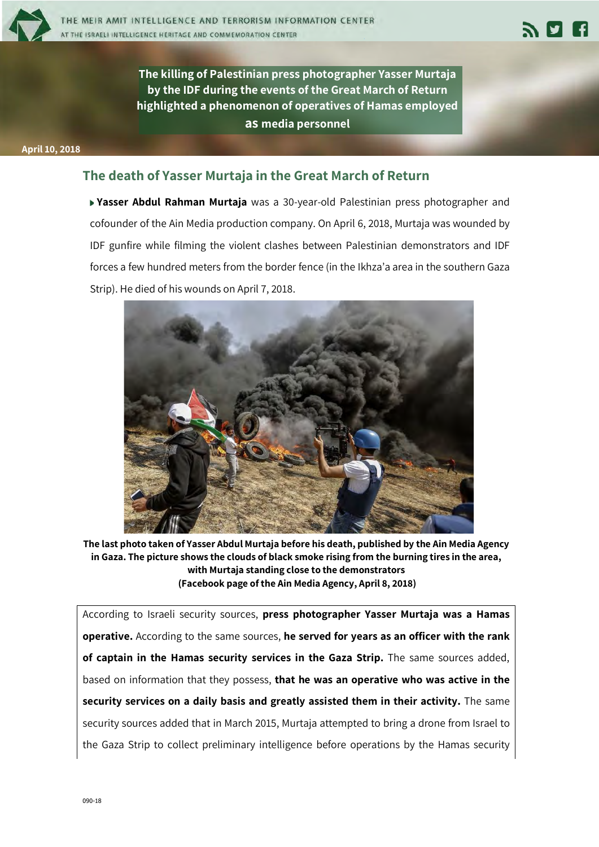



**The killing of Palestinian press photographer Yasser Murtaja by the IDF during the events of the Great March of Return highlighted a phenomenon of operatives of Hamas employed as media personnel**

**April 10, 2018** 

## **The death of Yasser Murtaja in the Great March of Return**

**Yasser Abdul Rahman Murtaja** was a 30-year-old Palestinian press photographer and cofounder of the Ain Media production company. On April 6, 2018, Murtaja was wounded by IDF gunfire while filming the violent clashes between Palestinian demonstrators and IDF forces a few hundred meters from the border fence (in the Ikhza'a area in the southern Gaza Strip). He died of his wounds on April 7, 2018.



**The last photo taken of Yasser Abdul Murtaja before his death, published by the Ain Media Agency in Gaza. The picture shows the clouds of black smoke rising from the burning tires in the area, with Murtaja standing close to the demonstrators (Facebook page of the Ain Media Agency, April 8, 2018)**

According to Israeli security sources, **press photographer Yasser Murtaja was a Hamas operative.** According to the same sources, **he served for years as an officer with the rank of captain in the Hamas security services in the Gaza Strip.** The same sources added, based on information that they possess, **that he was an operative who was active in the security services on a daily basis and greatly assisted them in their activity.** The same security sources added that in March 2015, Murtaja attempted to bring a drone from Israel to the Gaza Strip to collect preliminary intelligence before operations by the Hamas security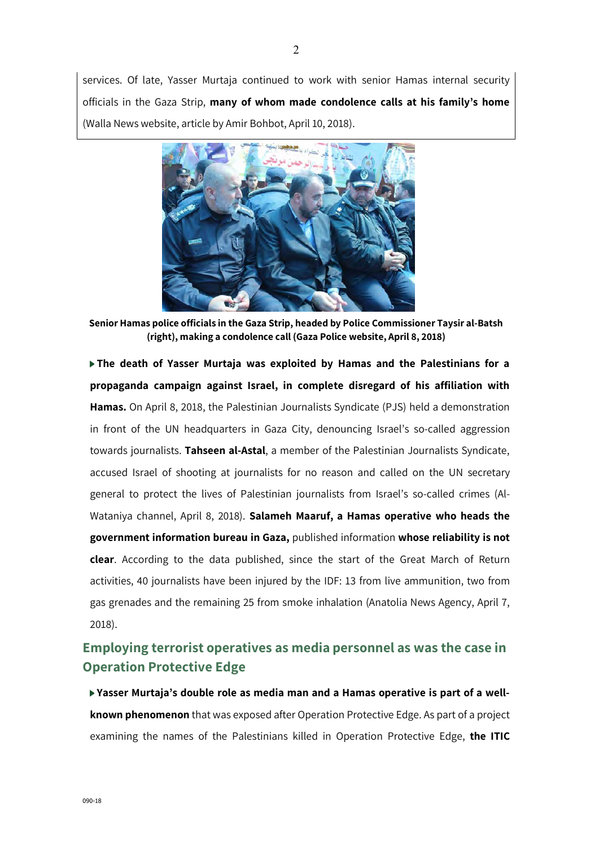services. Of late, Yasser Murtaja continued to work with senior Hamas internal security officials in the Gaza Strip, **many of whom made condolence calls at his family's home**  (Walla News website, article by Amir Bohbot, April 10, 2018).



**Senior Hamas police officials in the Gaza Strip, headed by Police Commissioner Taysir al-Batsh (right), making a condolence call (Gaza Police website, April 8, 2018)**

**The death of Yasser Murtaja was exploited by Hamas and the Palestinians for a propaganda campaign against Israel, in complete disregard of his affiliation with Hamas.** On April 8, 2018, the Palestinian Journalists Syndicate (PJS) held a demonstration in front of the UN headquarters in Gaza City, denouncing Israel's so-called aggression towards journalists. **Tahseen al-Astal**, a member of the Palestinian Journalists Syndicate, accused Israel of shooting at journalists for no reason and called on the UN secretary general to protect the lives of Palestinian journalists from Israel's so-called crimes (Al-Wataniya channel, April 8, 2018). **Salameh Maaruf, a Hamas operative who heads the government information bureau in Gaza,** published information **whose reliability is not clear**. According to the data published, since the start of the Great March of Return activities, 40 journalists have been injured by the IDF: 13 from live ammunition, two from gas grenades and the remaining 25 from smoke inhalation (Anatolia News Agency, April 7, 2018).

## **Employing terrorist operatives as media personnel as was the case in Operation Protective Edge**

**Yasser Murtaja's double role as media man and a Hamas operative is part of a wellknown phenomenon** that was exposed after Operation Protective Edge. As part of a project examining the names of the Palestinians killed in Operation Protective Edge, **the ITIC**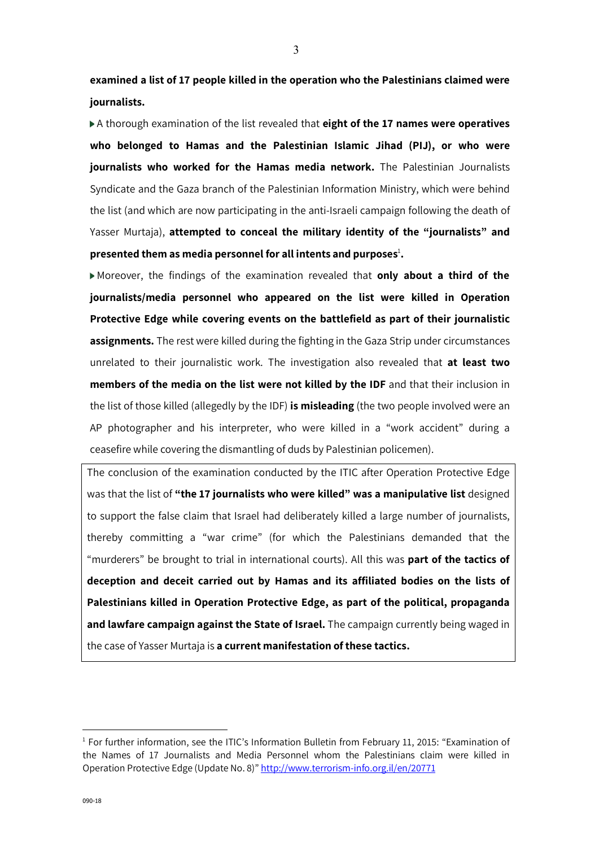**examined a list of 17 people killed in the operation who the Palestinians claimed were journalists.**

A thorough examination of the list revealed that **eight of the 17 names were operatives who belonged to Hamas and the Palestinian Islamic Jihad (PIJ), or who were journalists who worked for the Hamas media network.** The Palestinian Journalists Syndicate and the Gaza branch of the Palestinian Information Ministry, which were behind the list (and which are now participating in the anti-Israeli campaign following the death of Yasser Murtaja), **attempted to conceal the military identity of the "journalists" and**  presented them as media personnel for all intents and purposes<sup>1</sup>.

Moreover, the findings of the examination revealed that **only about a third of the journalists/media personnel who appeared on the list were killed in Operation Protective Edge while covering events on the battlefield as part of their journalistic assignments.** The rest were killed during the fighting in the Gaza Strip under circumstances unrelated to their journalistic work. The investigation also revealed that **at least two members of the media on the list were not killed by the IDF** and that their inclusion in the list of those killed (allegedly by the IDF) **is misleading** (the two people involved were an AP photographer and his interpreter, who were killed in a "work accident" during a ceasefire while covering the dismantling of duds by Palestinian policemen).

The conclusion of the examination conducted by the ITIC after Operation Protective Edge was that the list of **"the 17 journalists who were killed" was a manipulative list** designed to support the false claim that Israel had deliberately killed a large number of journalists, thereby committing a "war crime" (for which the Palestinians demanded that the "murderers" be brought to trial in international courts). All this was **part of the tactics of deception and deceit carried out by Hamas and its affiliated bodies on the lists of Palestinians killed in Operation Protective Edge, as part of the political, propaganda and lawfare campaign against the State of Israel.** The campaign currently being waged in the case of Yasser Murtaja is **a current manifestation of these tactics.**

<u>.</u>

<sup>&</sup>lt;sup>1</sup> For further information, see the ITIC's Information Bulletin from February 11, 2015: "Examination of the Names of 17 Journalists and Media Personnel whom the Palestinians claim were killed in Operation Protective Edge (Update No. 8)" http://www.terrorism-info.org.il/en/20771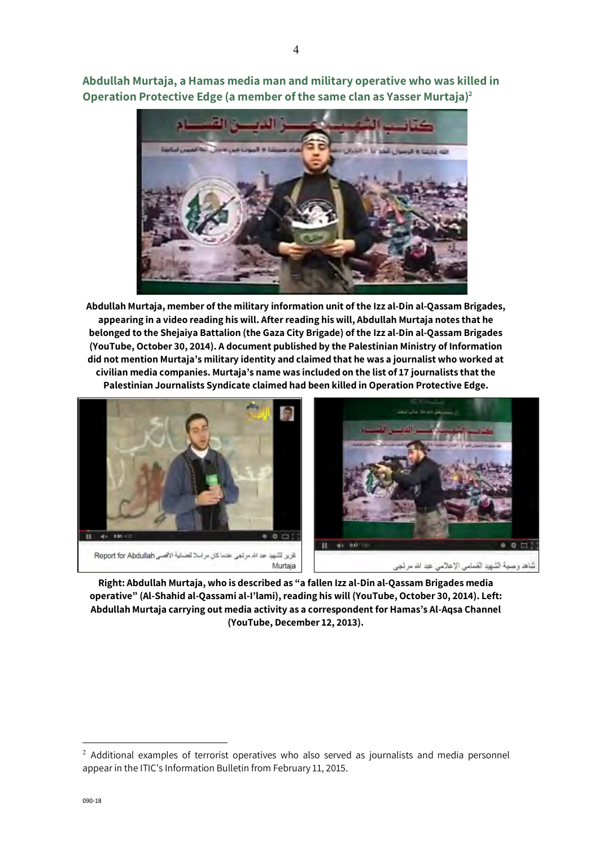**Abdullah Murtaja, a Hamas media man and military operative who was killed in Operation Protective Edge (a member of the same clan as Yasser Murtaja) 2**



**Abdullah Murtaja, member of the military information unit of the Izz al-Din al-Qassam Brigades, appearing in a video reading his will. After reading his will, Abdullah Murtaja notes that he belonged to the Shejaiya Battalion (the Gaza City Brigade) of the Izz al-Din al-Qassam Brigades (YouTube, October 30, 2014). A document published by the Palestinian Ministry of Information did not mention Murtaja's military identity and claimed that he was a journalist who worked at civilian media companies. Murtaja's name was included on the list of 17 journalists that the Palestinian Journalists Syndicate claimed had been killed in Operation Protective Edge.**



**Right: Abdullah Murtaja, who is described as "a fallen Izz al-Din al-Qassam Brigades media operative" (Al-Shahid al-Qassami al-I'lami), reading his will (YouTube, October 30, 2014). Left: Abdullah Murtaja carrying out media activity as a correspondent for Hamas's Al-Aqsa Channel (YouTube, December 12, 2013).** 

-

<sup>&</sup>lt;sup>2</sup> Additional examples of terrorist operatives who also served as journalists and media personnel appear in the ITIC's Information Bulletin from February 11, 2015.